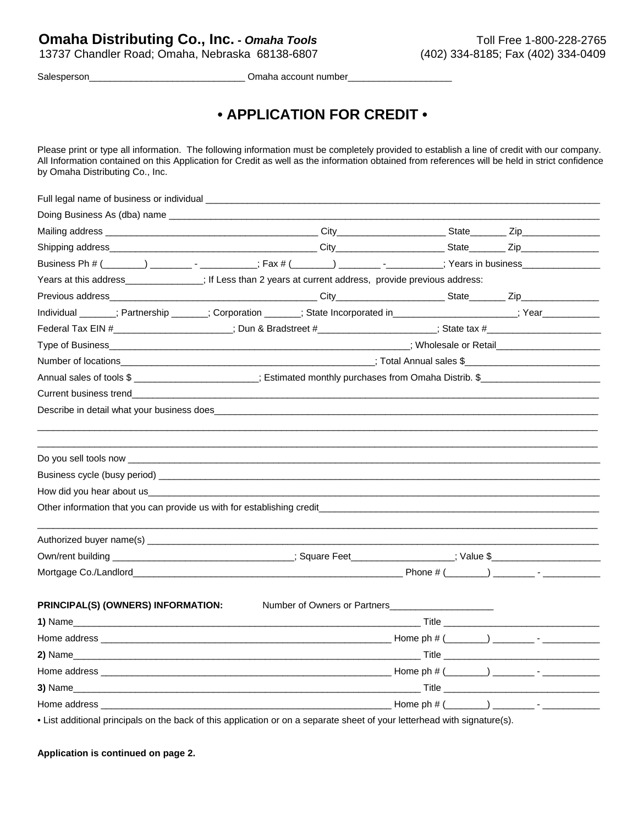13737 Chandler Road; Omaha, Nebraska 68138-6807 (402) 334-8185; Fax (402) 334-0409

Salesperson\_\_\_\_\_\_\_\_\_\_\_\_\_\_\_\_\_\_\_\_\_\_\_\_\_\_\_\_\_\_ Omaha account number\_\_\_\_\_\_\_\_\_\_\_\_\_\_\_\_\_\_\_\_

## **• APPLICATION FOR CREDIT •**

Please print or type all information. The following information must be completely provided to establish a line of credit with our company. All Information contained on this Application for Credit as well as the information obtained from references will be held in strict confidence by Omaha Distributing Co., Inc.

| Business Ph # (______) _________- - __________; Fax # (_______) ________- -_______; Years in business_______________                                                                                                                 |  |  |  |  |
|--------------------------------------------------------------------------------------------------------------------------------------------------------------------------------------------------------------------------------------|--|--|--|--|
| Years at this address_____________; If Less than 2 years at current address, provide previous address:                                                                                                                               |  |  |  |  |
|                                                                                                                                                                                                                                      |  |  |  |  |
| Individual ______; Partnership ______; Corporation ______; State Incorporated in ________________; Year ___________                                                                                                                  |  |  |  |  |
|                                                                                                                                                                                                                                      |  |  |  |  |
|                                                                                                                                                                                                                                      |  |  |  |  |
|                                                                                                                                                                                                                                      |  |  |  |  |
|                                                                                                                                                                                                                                      |  |  |  |  |
|                                                                                                                                                                                                                                      |  |  |  |  |
| Describe in detail what your business does <b>the contract of the contract of the contract of the contract of the contract of the contract of the contract of the contract of the contract of the contract of the contract of th</b> |  |  |  |  |
|                                                                                                                                                                                                                                      |  |  |  |  |
|                                                                                                                                                                                                                                      |  |  |  |  |
|                                                                                                                                                                                                                                      |  |  |  |  |
|                                                                                                                                                                                                                                      |  |  |  |  |
|                                                                                                                                                                                                                                      |  |  |  |  |
|                                                                                                                                                                                                                                      |  |  |  |  |
|                                                                                                                                                                                                                                      |  |  |  |  |
|                                                                                                                                                                                                                                      |  |  |  |  |
|                                                                                                                                                                                                                                      |  |  |  |  |
|                                                                                                                                                                                                                                      |  |  |  |  |
|                                                                                                                                                                                                                                      |  |  |  |  |
| PRINCIPAL(S) (OWNERS) INFORMATION:                                                                                                                                                                                                   |  |  |  |  |
|                                                                                                                                                                                                                                      |  |  |  |  |
|                                                                                                                                                                                                                                      |  |  |  |  |
|                                                                                                                                                                                                                                      |  |  |  |  |
|                                                                                                                                                                                                                                      |  |  |  |  |
|                                                                                                                                                                                                                                      |  |  |  |  |
|                                                                                                                                                                                                                                      |  |  |  |  |
| • List additional principals on the back of this application or on a separate sheet of your letterhead with signature(s).                                                                                                            |  |  |  |  |

**Application is continued on page 2.**